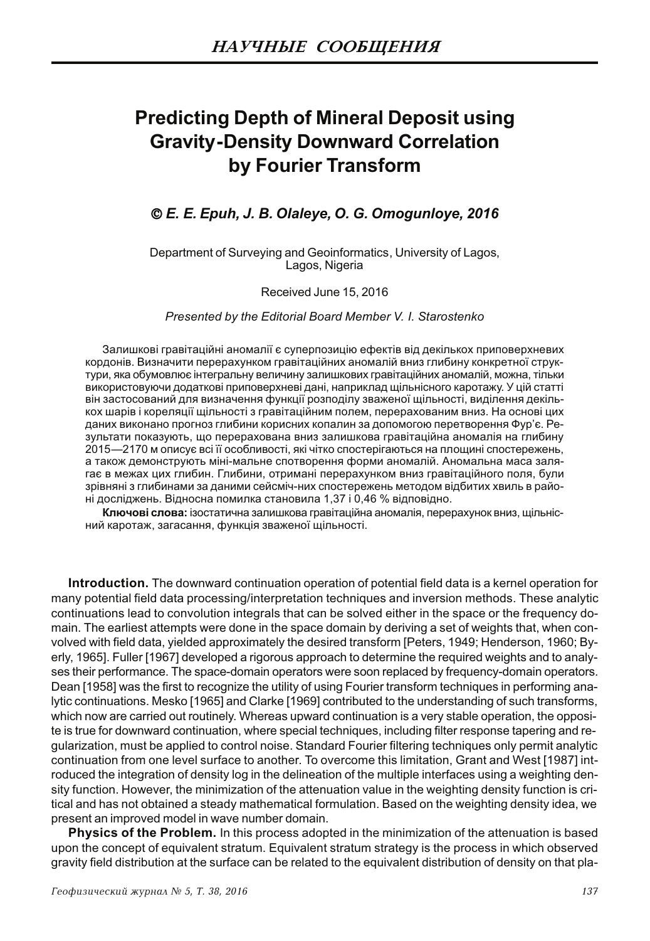# **Predicting Depth of Mineral Deposit using Gravity-Density Downward Correlation** by Fourier Transform

### © E. E. Epuh, J. B. Olaleye, O. G. Omogunloye, 2016

Department of Surveying and Geoinformatics, University of Lagos, Lagos, Nigeria

#### Received June 15, 2016

Presented by the Editorial Board Member V. I. Starostenko

Залишкові гравітаційні аномалії є суперпозицію ефектів від декількох приповерхневих кордонів. Визначити перерахунком гравітаційних аномалій вниз глибину конкретної структури, яка обумовлює інтегральну величину залишкових гравітаційних аномалій, можна, тільки використовуючи додаткові приповерхневі дані, наприклад щільнісного каротажу. У цій статті він застосований для визначення функції розподілу зваженої щільності, виділення декількох шарів і кореляції щільності з гравітаційним полем, перерахованим вниз. На основі цих даних виконано прогноз глибини корисних копалин за допомогою перетворення Фур'є. Результати показують, що перерахована вниз залишкова гравітаційна аномалія на глибину 2015—2170 м описує всі її особливості, які чітко спостерігаються на площині спостережень, а також демонструють міні-мальне спотворення форми аномалій. Аномальна маса залягає в межах цих глибин. Глибини, отримані перерахунком вниз гравітаційного поля, були зрівняні з глибинами за даними сейсміч-них спостережень методом відбитих хвиль в районі досліджень. Відносна помилка становила 1,37 і 0,46 % відповідно.

Ключові слова: ізостатична залишкова гравітаційна аномалія, перерахунок вниз, щільнісний каротаж, загасання, функція зваженої щільності.

Introduction. The downward continuation operation of potential field data is a kernel operation for many potential field data processing/interpretation techniques and inversion methods. These analytic continuations lead to convolution integrals that can be solved either in the space or the frequency domain. The earliest attempts were done in the space domain by deriving a set of weights that, when convolved with field data, yielded approximately the desired transform [Peters, 1949; Henderson, 1960; Byerly, 1965]. Fuller [1967] developed a rigorous approach to determine the required weights and to analyses their performance. The space-domain operators were soon replaced by frequency-domain operators. Dean [1958] was the first to recognize the utility of using Fourier transform techniques in performing analytic continuations. Mesko [1965] and Clarke [1969] contributed to the understanding of such transforms, which now are carried out routinely. Whereas upward continuation is a very stable operation, the opposite is true for downward continuation, where special techniques, including filter response tapering and regularization, must be applied to control noise. Standard Fourier filtering techniques only permit analytic continuation from one level surface to another. To overcome this limitation, Grant and West [1987] introduced the integration of density log in the delineation of the multiple interfaces using a weighting density function. However, the minimization of the attenuation value in the weighting density function is critical and has not obtained a steady mathematical formulation. Based on the weighting density idea, we present an improved model in wave number domain.

**Physics of the Problem.** In this process adopted in the minimization of the attenuation is based upon the concept of equivalent stratum. Equivalent stratum strategy is the process in which observed gravity field distribution at the surface can be related to the equivalent distribution of density on that pla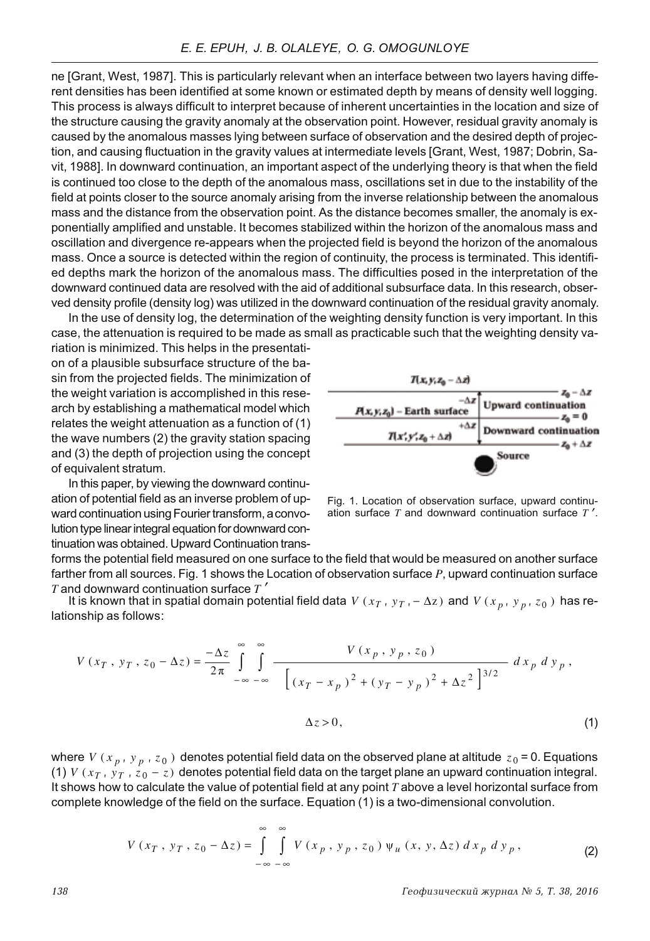ne [Grant, West, 1987]. This is particularly relevant when an interface between two lavers having different densities has been identified at some known or estimated depth by means of density well logging. This process is always difficult to interpret because of inherent uncertainties in the location and size of the structure causing the gravity anomaly at the observation point. However, residual gravity anomaly is caused by the anomalous masses lying between surface of observation and the desired depth of projection, and causing fluctuation in the gravity values at intermediate levels [Grant, West, 1987; Dobrin, Savit. 1988]. In downward continuation, an important aspect of the underlying theory is that when the field is continued too close to the depth of the anomalous mass, oscillations set in due to the instability of the field at points closer to the source anomaly arising from the inverse relationship between the anomalous mass and the distance from the observation point. As the distance becomes smaller, the anomaly is exponentially amplified and unstable. It becomes stabilized within the horizon of the anomalous mass and oscillation and divergence re-appears when the projected field is bevond the horizon of the anomalous mass. Once a source is detected within the region of continuity, the process is terminated. This identified depths mark the horizon of the anomalous mass. The difficulties posed in the interpretation of the downward continued data are resolved with the aid of additional subsurface data. In this research, observed density profile (density log) was utilized in the downward continuation of the residual gravity anomaly.

In the use of density log, the determination of the weighting density function is very important. In this case, the attenuation is required to be made as small as practicable such that the weighting density va-

riation is minimized. This helps in the presentation of a plausible subsurface structure of the basin from the proiected fields. The minimization of the weight variation is accomplished in this research by establishing a mathematical model which relates the weight attenuation as a function of  $(1)$ the wave numbers (2) the gravity station spacing and  $(3)$  the depth of projection using the concept of equivalent stratum.

In this paper, by viewing the downward continuation of potential field as an inverse problem of upward continuation using Fourier transform, a convolution type linear integral equation for downward continuation was obtained. Upward Continuation trans-

forms the potential field measured on one surface to the field that would be measured on another surface farther from all sources. Fig. 1 shows the Location of observation surface  $P$ , upward continuation surface

 $T$  and downward continuation surface  $T'$ <br>It is known that in spatial domain pote is known that in spatial domain potential field data  $V(x_T, y_T, -\Delta z)$  and  $V(x_p, y_p, z_0)$  has relationship as follows:

$$
V(x_T, y_T, z_0 - \Delta z) = \frac{-\Delta z}{2\pi} \int_{-\infty}^{\infty} \int_{-\infty}^{\infty} \frac{V(x_p, y_p, z_0)}{[(x_T - x_p)^2 + (y_T - y_p)^2 + \Delta z^2]^{3/2}} dx_p dy_p,
$$
  

$$
\Delta z > 0,
$$
 (1)

where  $V$  ( $x_p$  ,  $y_p$  ,  $z_0$  ) denotes potential field data on the observed plane at altitude  $z_0$  = 0. Equations (1)  $V(x_T, y_T, z_0 - z)$  denotes potential field data on the target plane an upward continuation integral. It shows how to calculate the value of potential field at any point  $T$  above a level horizontal surface from complete knowledge of the field on the surface. Equation  $(1)$  is a two-dimensional convolution.

$$
V(x_T, y_T, z_0 - \Delta z) = \int_{-\infty}^{\infty} \int_{-\infty}^{\infty} V(x_p, y_p, z_0) \psi_u(x, y, \Delta z) dx_p dy_p, \qquad (2)
$$



Fig. 1. Location of observation surface, upward continuation surface  $T$  and downward continuation surface  $T'$ .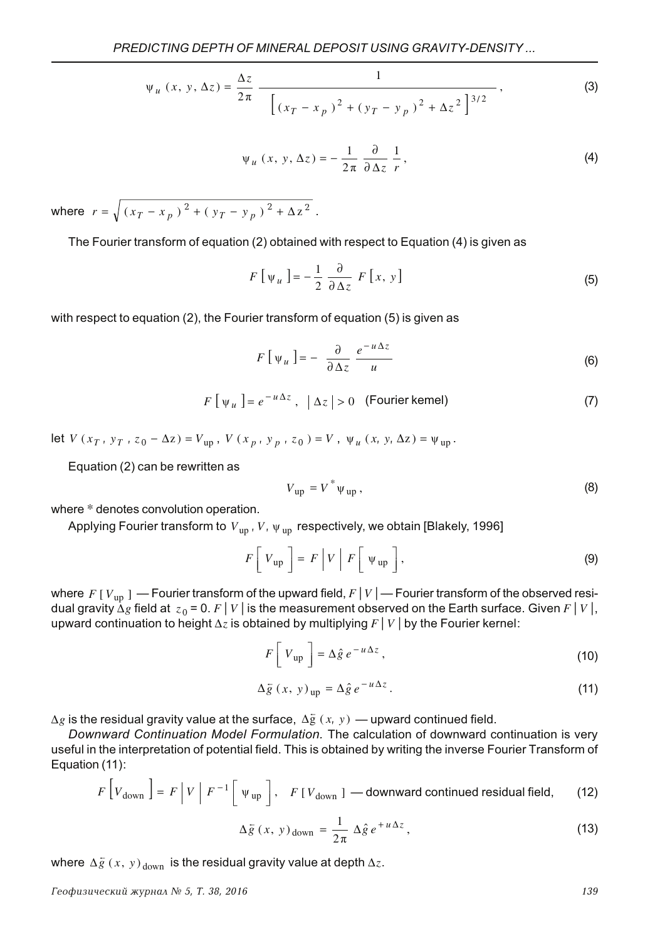$$
\psi_u(x, y, \Delta z) = \frac{\Delta z}{2\pi} \frac{1}{\left[ (x_T - x_p)^2 + (y_T - y_p)^2 + \Delta z^2 \right]^{3/2}},
$$
\n(3)

$$
\Psi_u(x, y, \Delta z) = -\frac{1}{2\pi} \frac{\partial}{\partial \Delta z} \frac{1}{r}, \qquad (4)
$$

where  $r = \sqrt{(x_T - x_p)^2 + (y_T - y_p)^2 + \Delta z^2}$ .

The Fourier transform of equation (2) obtained with respect to Equation (4) is given as

$$
F\left[\psi_u\right] = -\frac{1}{2} \frac{\partial}{\partial \Delta z} F\left[x, y\right]
$$
\n(5)

with respect to equation (2), the Fourier transform of equation (5) is given as

$$
F\left[\psi_u\right] = -\frac{\partial}{\partial \Delta z} \frac{e^{-u\Delta z}}{u} \tag{6}
$$

$$
F\left[\psi_{u}\right] = e^{-u\Delta z}, \quad |\Delta z| > 0 \quad \text{(Fourier kemel)}
$$
 (7)

let *V* (*x<sub>T</sub>*, *y<sub>T</sub>*, *z*<sub>0</sub> - Δz) = *V*<sub>up</sub>, *V* (*x<sub>p</sub>*, *y<sub>p</sub>*, *z*<sub>0</sub>) = *V*, *ψ*<sub>*u*</sub> (*x*, *y*, Δz) = ψ<sub>up</sub>.

Equation (2) can be rewritten as

$$
V_{\rm up} = V^* \psi_{\rm up},\tag{8}
$$

where \* denotes convolution operation.

Applying Fourier transform to  $\overline{V}_{\text{up}}$  ,  $\overline{V}$  ,  $\overline{\psi}_{\text{up}}$  respectively, we obtain [Blakely, 1996]

$$
F[V_{\rm up}] = F|V|F[\nu_{\rm up}], \qquad (9)
$$

where  $\,F\,[\,V_{\rm up}\,]\,\longrightarrow$  Fourier transform of the upward field,  $F\,[\,V\,]\longrightarrow$  Fourier transform of the observed residual gravity  $\Delta g$  field at  $z_0$  = 0.  $F|V|$  is the measurement observed on the Earth surface. Given  $F|V|$ , upward continuation to height  $\Delta z$  is obtained by multiplying  $F\,|\,V\,|$  by the Fourier kernel:

$$
F\left[V_{\text{up}}\right] = \Delta \hat{g} e^{-u\Delta z},\qquad(10)
$$

$$
\Delta \bar{g} \left( x, y \right)_{\text{up}} = \Delta \hat{g} \, e^{-u \Delta z} \,. \tag{11}
$$

 $\Delta g$  is the residual gravity value at the surface,  $\Delta \bar{\mathrm{g}} \, \left( \, x, \, y \, \right)$  — upward continued field.

Downward Continuation Model Formulation. The calculation of downward continuation is very useful in the interpretation of potential field. This is obtained by writing the inverse Fourier Transform of Equation (11):

$$
F\left[V_{\text{down}}\right] = F\left|V\right|F^{-1}\left[\Psi_{\text{up}}\right], \quad F\left[V_{\text{down}}\right] - \text{downward continued residual field}, \tag{12}
$$

$$
\Delta \bar{g} \left( x, y \right)_{\text{down}} = \frac{1}{2\pi} \Delta \hat{g} e^{+u\Delta z}, \tag{13}
$$

where  $\Delta \overline{g}\left( x,\, y\right) _{\mathrm{down}}$  is the residual gravity value at depth  $\Delta z.$ 

Геофизический журнал № 5, Т. 38, 2016 — года в союз на собят в союз на собят в союз на собята 139 года. В 139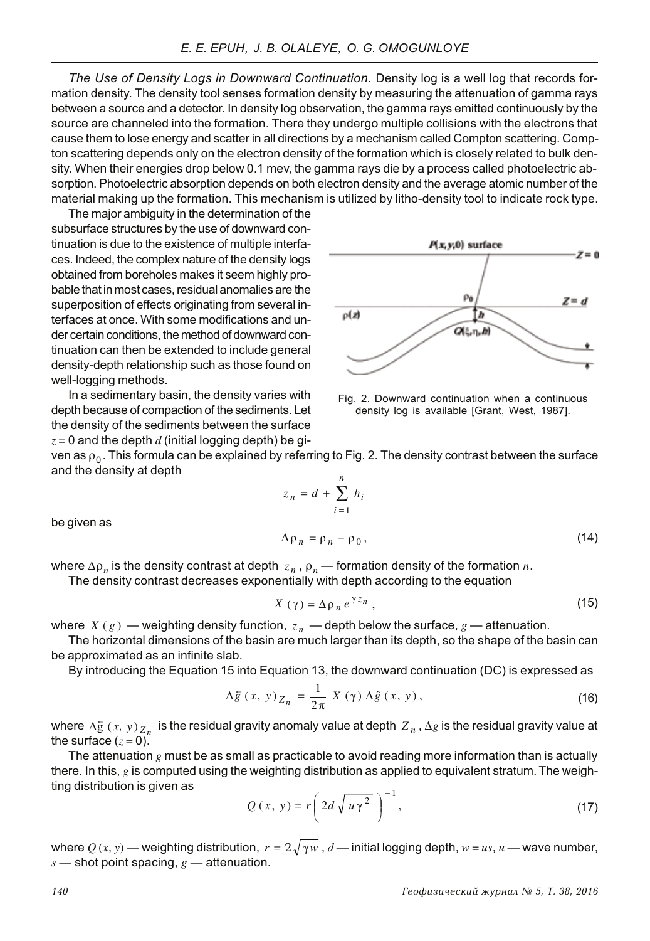The Use of Density Logs in Downward Continuation. Density log is a well log that records formation density. The density tool senses formation density by measuring the attenuation of gamma rays between a source and a detector. In density log observation, the gamma rays emitted continuously by the source are channeled into the formation. There they undergo multiple collisions with the electrons that cause them to lose energy and scatter in all directions by a mechanism called Compton scattering. Compton scattering depends only on the electron density of the formation which is closely related to bulk density. When their energies drop below 0.1 mey, the gamma rays die by a process called photoelectric absorption. Photoelectric absorption depends on both electron density and the average atomic number of the material making up the formation. This mechanism is utilized by litho-density tool to indicate rock type.

The maior ambiguity in the determination of the subsurface structures by the use of downward continuation is due to the existence of multiple interfaces, Indeed, the complex nature of the density logs obtained from boreholes makes it seem highly probable that in most cases, residual anomalies are the superposition of effects originating from several interfaces at once. With some modifications and under certain conditions, the method of downward continuation can then be extended to include general density-depth relationship such as those found on well-logging methods.

In a sedimentary basin, the density varies with depth because of compaction of the sediments. Let the density of the sediments between the surface  $z = 0$  and the depth  $d$  (initial logging depth) be gi-



Fig. 2. Downward continuation when a continuous density log is available [Grant, West, 1987].

ven as  $\rho_0$ . This formula can be explained by referring to Fig. 2. The density contrast between the surface and the density at depth

$$
z_n = d + \sum_{i=1}^n h_i
$$
  

$$
\Delta \Omega = \Omega - \Omega \Omega
$$
 (14)

be given as

$$
\Delta \rho_n = \rho_n - \rho_0, \qquad (14)
$$

where  $\Delta \rho_n$  is the density contrast at depth  $z_n$  ,  $\rho_n$  — formation density of the formation  $n.$ 

The density contrast decreases exponentially with depth according to the equation

$$
X(\gamma) = \Delta \rho_n e^{\gamma z_n}, \qquad (15)
$$

where  $X$  ( $g$  ) — weighting density function,  $z_n$  — depth below the surface,  $g$  — attenuation. The horizontal dimensions of the basin are much larger than its depth, so the shape of the basin can

be approximated as an infinite slab.

By introducing the Equation 15 into Equation 13, the downward continuation (DC) is expressed as

$$
\Delta \tilde{g}(x, y)_{Z_n} = \frac{1}{2\pi} X(\gamma) \Delta \hat{g}(x, y), \qquad (16)
$$

where  $\Delta \bar{g}$  (*x*, *y*)  $\frac{Z_n}{Z_n}$  is the residual gravity anomaly value at depth  $Z_n$  ,  $\Delta g$  is the residual gravity value at the surface  $(z=0)$ .

The attenuation  $g$  must be as small as practicable to avoid reading more information than is actually there. In this,  $g$  is computed using the weighting distribution as applied to equivalent stratum. The weighting distribution is given as

$$
Q(x, y) = r \left( 2d \sqrt{u \gamma^2} \right)^{-1}, \tag{17}
$$

where  $Q\left(x,y\right)$  — weighting distribution,  $\;r=2\sqrt{\gamma w}\;$  ,  $d$  — initial logging depth,  $w=us$  ,  $u$  — wave number,  $s$  – shot point spacing,  $g$  – attenuation.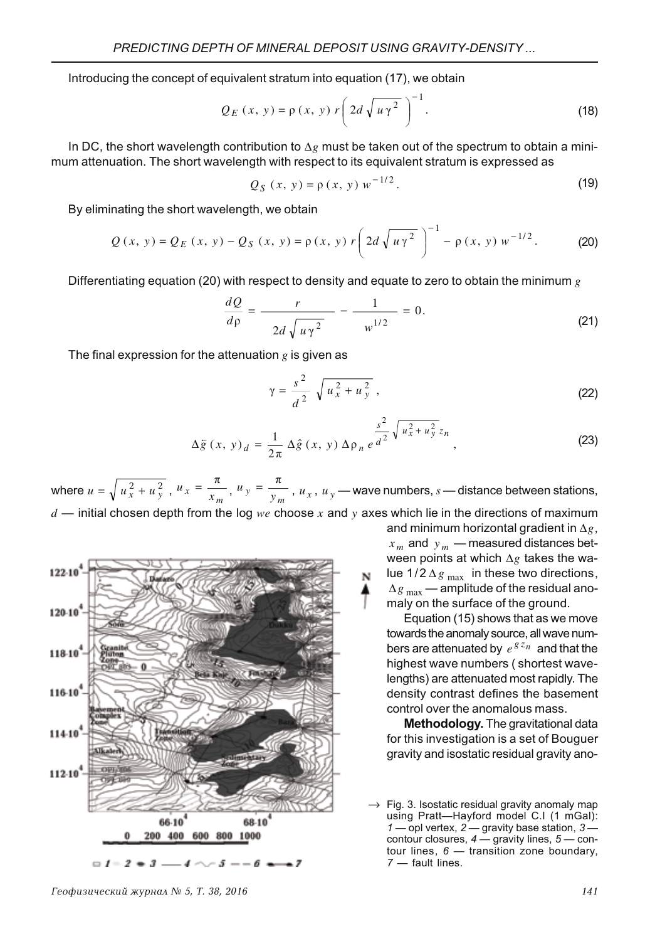Introducing the concept of equivalent stratum into equation (17), we obtain

$$
Q_E(x, y) = \rho(x, y) r \left( 2d \sqrt{u \gamma^2} \right)^{-1}.
$$
 (18)

In DC, the short wavelength contribution to  $\Delta g$  must be taken out of the spectrum to obtain a minimum attenuation. The short wavelength with respect to its equivalent stratum is expressed as

$$
Q_S(x, y) = \rho(x, y) w^{-1/2}.
$$
 (19)

By eliminating the short wavelength, we obtain

$$
Q(x, y) = Q_E(x, y) - Q_S(x, y) = \rho(x, y) r \left( 2d \sqrt{u \gamma^2} \right)^{-1} - \rho(x, y) w^{-1/2}.
$$
 (20)

Differentiating equation (20) with respect to density and equate to zero to obtain the minimum  $g$ 

$$
\frac{dQ}{d\rho} = \frac{r}{2d\sqrt{u\gamma^2}} - \frac{1}{w^{1/2}} = 0.
$$
 (21)

The final expression for the attenuation  $g$  is given as

$$
\gamma = \frac{s^2}{d^2} \sqrt{u_x^2 + u_y^2} \,, \tag{22}
$$

$$
\Delta \bar{g}(x, y)_d = \frac{1}{2\pi} \Delta \hat{g}(x, y) \Delta \rho_n e^{\frac{s^2}{d^2} \sqrt{u_x^2 + u_y^2} z_n},
$$
\n(23)

where  $u = \sqrt{u_x^2 + u_y^2}$ ,  $u_x = \frac{\pi}{x_m}$ ,  $u_y = \frac{\pi}{y_m}$ ,  $u_x$ ,  $u_y$  — wave numbers,  $s$  — distance between stations,  $d$  — initial chosen depth from the log we choose x and y axes which lie in the directions of maximum



and minimum horizontal gradient in  $\Delta g$ ,  $x_m$  and  $y_m$  — measured distances between points at which  $\Delta g$  takes the walue 1/2  $\Delta g_{\textrm{max}}$  in these two directions,  $\Delta g_{\textrm{ max}}$  — amplitude of the residual anomaly on the surface of the ground.

Equation (15) shows that as we move towards the anomaly source, all waye numbers are attenuated by  $e^{g\overline{z}_n}$  and that the highest wave numbers (shortest wavelengths) are attenuated most rapidly. The density contrast defines the basement control over the anomalous mass.

Methodology. The gravitational data for this investigation is a set of Bouguer aravity and isostatic residual gravity ano-

 $\rightarrow$  Fig. 3. Isostatic residual gravity anomaly map using Pratt—Havford model C.I (1 mGal): 1 – opl vertex, 2 – gravity base station,  $3$ contour closures,  $4 -$  gravity lines,  $5 -$  contour lines,  $6$  - transition zone boundary,  $7$  - fault lines.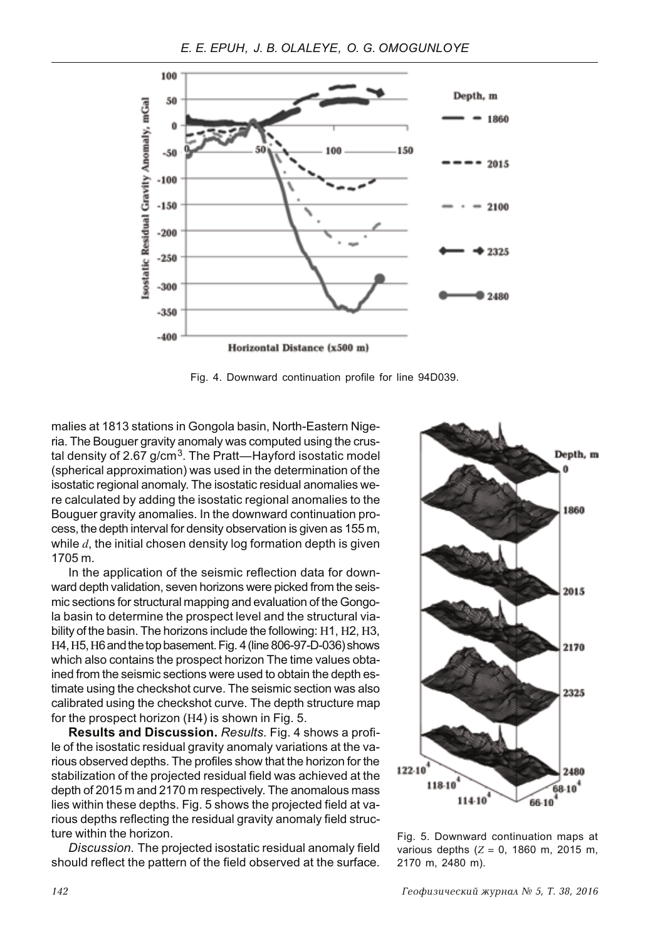

Fig. 4. Downward continuation profile for line 94D039.

malies at 1813 stations in Gongola basin, North-Eastern Nigeria. The Bouguer gravity anomaly was computed using the crustal density of 2.67  $g/cm<sup>3</sup>$ . The Pratt—Hayford isostatic model (spherical approximation) was used in the determination of the isostatic regional anomaly. The isostatic residual anomalies were calculated by adding the isostatic regional anomalies to the Bouguer gravity anomalies. In the downward continuation process, the depth interval for density observation is given as 155 m, while  $d$ , the initial chosen density log formation depth is given 1705 m.

In the application of the seismic reflection data for downward depth validation, seven horizons were picked from the seismic sections for structural mapping and evaluation of the Gongola basin to determine the prospect level and the structural viability of the basin. The horizons include the following: H1, H2, H3, H4, H5, H6 and the top basement. Fig. 4 (line 806-97-D-036) shows which also contains the prospect horizon The time values obtained from the seismic sections were used to obtain the depth estimate using the checkshot curve. The seismic section was also calibrated using the checkshot curve. The depth structure map for the prospect horizon (H4) is shown in Fig. 5.

Results and Discussion. Results. Fig. 4 shows a profile of the isostatic residual gravity anomaly variations at the various observed depths. The profiles show that the horizon for the stabilization of the projected residual field was achieved at the depth of 2015 m and 2170 m respectively. The anomalous mass lies within these depths. Fig. 5 shows the projected field at various depths reflecting the residual gravity anomaly field structure within the horizon.

Discussion. The projected isostatic residual anomaly field should reflect the pattern of the field observed at the surface.



Fig. 5. Downward continuation maps at various depths  $(Z = 0, 1860 \text{ m}, 2015 \text{ m},$ 2170 m, 2480 m).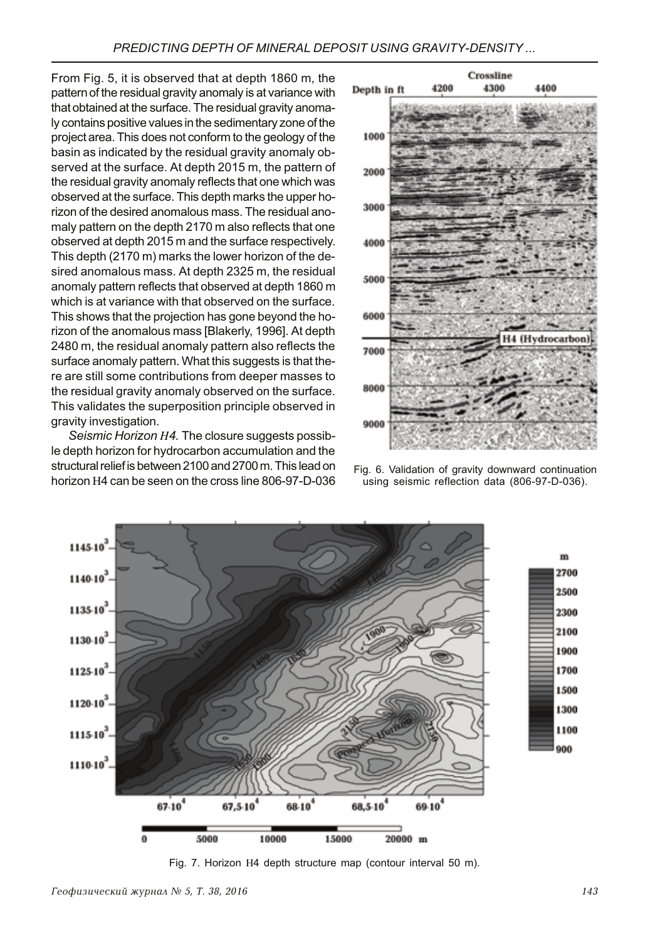From Fig. 5, it is observed that at depth 1860 m, the pattern of the residual gravity anomaly is at variance with that obtained at the surface. The residual gravity anomaly contains positive values in the sedimentary zone of the project area. This does not conform to the geology of the basin as indicated by the residual gravity anomaly observed at the surface. At depth 2015 m, the pattern of the residual gravity anomaly reflects that one which was observed at the surface. This depth marks the upper horizon of the desired anomalous mass. The residual anomaly pattern on the depth 2170 m also reflects that one observed at depth 2015 m and the surface respectively. This depth (2170 m) marks the lower horizon of the desired anomalous mass. At depth 2325 m, the residual anomaly pattern reflects that observed at depth 1860 m which is at variance with that observed on the surface. This shows that the projection has gone beyond the horizon of the anomalous mass [Blakerly, 1996]. At depth 2480 m, the residual anomaly pattern also reflects the surface anomaly pattern. What this suggests is that there are still some contributions from deeper masses to the residual gravity anomaly observed on the surface. This validates the superposition principle observed in gravity investigation.

Seismic Horizon H4. The closure suggests possible depth horizon for hydrocarbon accumulation and the structural relief is between 2100 and 2700 m. This lead on horizon H4 can be seen on the cross line 806-97-D-036



Fig. 6. Validation of gravity downward continuation using seismic reflection data (806-97-D-036).



Fig. 7. Horizon H4 depth structure map (contour interval 50 m).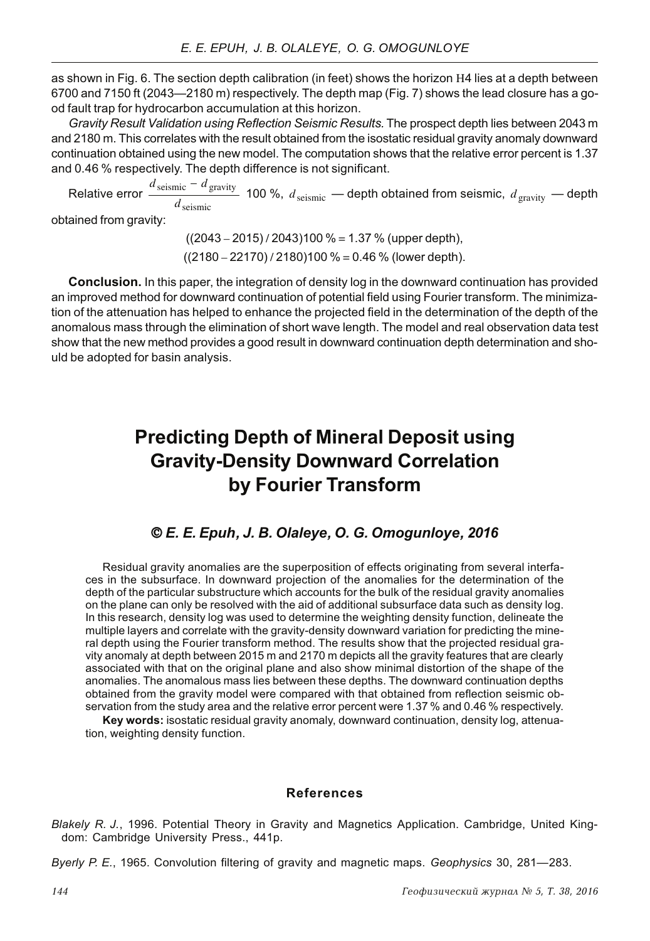as shown in Fig. 6. The section depth calibration (in feet) shows the horizon H4 lies at a depth between 6700 and 7150 ft (2043—2180 m) respectively. The depth map (Fig. 7) shows the lead closure has a good fault trap for hydrocarbon accumulation at this horizon.

Gravity Result Validation using Reflection Seismic Results. The prospect depth lies between 2043 m and 2180 m. This correlates with the result obtained from the isostatic residual gravity anomaly downward continuation obtained using the new model. The computation shows that the relative error percent is 1.37 and 0.46 % respectively. The depth difference is not significant.

Relative error  $\frac{d_{\text{seissmic}} - d_{\text{gravity}}}{d_{\text{seissmic}}}$  100 %,  $d_{\text{seissmic}}$  — depth obtained from seismic,  $d_{\text{gravity}}$  — depth

obtained from gravity:

 $((2043 – 2015) / 2043)100 % = 1.37 % (upper depth),$  $((2180 – 22170) / 2180)100 % = 0.46 %$  (lower depth).

**Conclusion.** In this paper, the integration of density log in the downward continuation has provided an improved method for downward continuation of potential field using Fourier transform. The minimization of the attenuation has helped to enhance the projected field in the determination of the depth of the anomalous mass through the elimination of short wave length. The model and real observation data test show that the new method provides a good result in downward continuation depth determination and should be adopted for basin analysis.

# **Predicting Depth of Mineral Deposit using Gravity-Density Downward Correlation** by Fourier Transform

## © E. E. Epuh, J. B. Olaleye, O. G. Omogunloye, 2016

Residual gravity anomalies are the superposition of effects originating from several interfaces in the subsurface. In downward projection of the anomalies for the determination of the depth of the particular substructure which accounts for the bulk of the residual gravity anomalies on the plane can only be resolved with the aid of additional subsurface data such as density log. In this research, density log was used to determine the weighting density function, delineate the multiple layers and correlate with the gravity-density downward variation for predicting the mineral depth using the Fourier transform method. The results show that the projected residual gravity anomaly at depth between 2015 m and 2170 m depicts all the gravity features that are clearly associated with that on the original plane and also show minimal distortion of the shape of the anomalies. The anomalous mass lies between these depths. The downward continuation depths obtained from the gravity model were compared with that obtained from reflection seismic observation from the study area and the relative error percent were 1.37 % and 0.46 % respectively.

Key words: isostatic residual gravity anomaly, downward continuation, density log, attenuation, weighting density function.

#### **References**

Blakely R. J., 1996. Potential Theory in Gravity and Magnetics Application. Cambridge, United Kingdom: Cambridge University Press., 441p.

Byerly P. E., 1965. Convolution filtering of gravity and magnetic maps. Geophysics 30, 281–283.